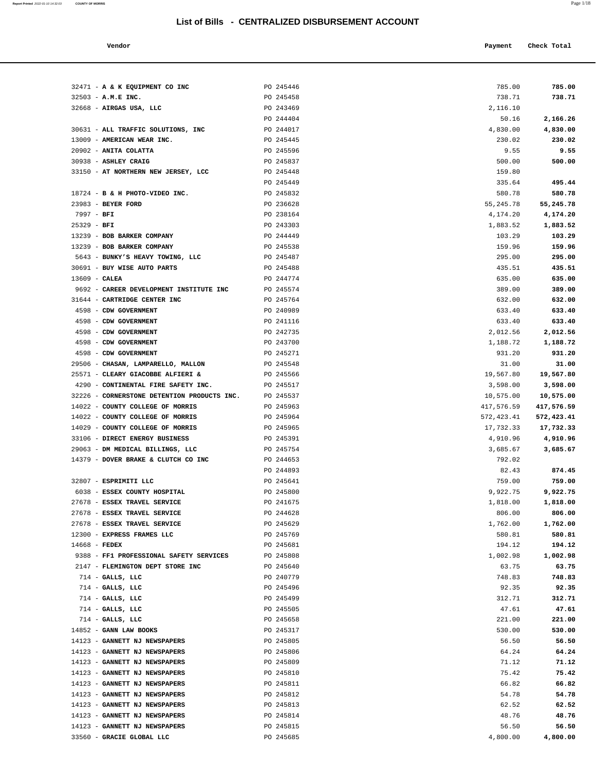# **List of Bills - CENTRALIZED DISBURSEMENT ACCOUNT**

| Vendor |  | Payment Check Total |
|--------|--|---------------------|
|--------|--|---------------------|

|                 | 32471 - A & K EQUIPMENT CO INC              | PO 245446              | 785.00          | 785.00           |
|-----------------|---------------------------------------------|------------------------|-----------------|------------------|
|                 | 32503 - A.M.E INC.                          | PO 245458              | 738.71          | 738.71           |
|                 | 32668 - AIRGAS USA, LLC                     | PO 243469              | 2,116.10        |                  |
|                 |                                             | PO 244404              | 50.16           | 2,166.26         |
|                 | 30631 - ALL TRAFFIC SOLUTIONS, INC          | PO 244017              | 4,830.00        | 4,830.00         |
|                 | 13009 - AMERICAN WEAR INC.                  | PO 245445              | 230.02          | 230.02           |
|                 | 20902 - ANITA COLATTA                       | PO 245596              | 9.55            | 9.55             |
|                 | 30938 - ASHLEY CRAIG                        | PO 245837              | 500.00          | 500.00           |
|                 | 33150 - AT NORTHERN NEW JERSEY, LCC         | PO 245448              | 159.80          |                  |
|                 |                                             | PO 245449              | 335.64          | 495.44           |
|                 | 18724 - B & H PHOTO-VIDEO INC.              | PO 245832              | 580.78          | 580.78           |
|                 | 23983 - BEYER FORD                          | PO 236628              | 55, 245. 78     | 55,245.78        |
| $7997 - BFI$    |                                             | PO 238164              | 4,174.20        | 4,174.20         |
| $25329 - BFI$   |                                             | PO 243303              | 1,883.52        | 1,883.52         |
|                 | 13239 - BOB BARKER COMPANY                  | PO 244449              | 103.29          | 103.29           |
|                 | 13239 - BOB BARKER COMPANY                  | PO 245538              | 159.96          | 159.96           |
|                 | 5643 - BUNKY'S HEAVY TOWING, LLC            | PO 245487              | 295.00          | 295.00           |
|                 | 30691 - BUY WISE AUTO PARTS                 | PO 245488              | 435.51          | 435.51           |
| $13609$ - CALEA |                                             | PO 244774              | 635.00          | 635.00           |
|                 | 9692 - CAREER DEVELOPMENT INSTITUTE INC     | PO 245574              | 389.00          | 389.00           |
|                 | 31644 - CARTRIDGE CENTER INC                | PO 245764              | 632.00          | 632.00           |
|                 | 4598 - CDW GOVERNMENT                       | PO 240989              | 633.40          | 633.40           |
|                 | 4598 - CDW GOVERNMENT                       | PO 241116              | 633.40          | 633.40           |
|                 | 4598 - CDW GOVERNMENT                       | PO 242735              | 2,012.56        | 2,012.56         |
|                 | 4598 - CDW GOVERNMENT                       | PO 243700              | 1,188.72        | 1,188.72         |
|                 | 4598 - CDW GOVERNMENT                       | PO 245271              | 931.20          | 931.20           |
|                 | 29506 - CHASAN, LAMPARELLO, MALLON          | PO 245548              | 31.00           | 31.00            |
|                 | 25571 - CLEARY GIACOBBE ALFIERI &           | PO 245566              | 19,567.80       | 19,567.80        |
|                 | 4290 - CONTINENTAL FIRE SAFETY INC.         | PO 245517              | 3,598.00        | 3,598.00         |
|                 | 32226 - CORNERSTONE DETENTION PRODUCTS INC. | PO 245537              | 10,575.00       | 10,575.00        |
|                 | 14022 - COUNTY COLLEGE OF MORRIS            | PO 245963              | 417,576.59      | 417,576.59       |
|                 | 14022 - COUNTY COLLEGE OF MORRIS            | PO 245964              | 572,423.41      | 572,423.41       |
|                 | 14029 - COUNTY COLLEGE OF MORRIS            | PO 245965              | 17,732.33       | 17,732.33        |
|                 | 33106 - DIRECT ENERGY BUSINESS              | PO 245391              | 4,910.96        | 4,910.96         |
|                 | 29063 - DM MEDICAL BILLINGS, LLC            | PO 245754              | 3,685.67        | 3,685.67         |
|                 | 14379 - DOVER BRAKE & CLUTCH CO INC         | PO 244653              | 792.02          |                  |
|                 | 32807 - ESPRIMITI LLC                       | PO 244893<br>PO 245641 | 82.43<br>759.00 | 874.45<br>759.00 |
|                 | 6038 - ESSEX COUNTY HOSPITAL                | PO 245800              | 9,922.75        | 9,922.75         |
|                 | 27678 - ESSEX TRAVEL SERVICE                | PO 241675              | 1,818.00        | 1,818.00         |
|                 | 27678 - ESSEX TRAVEL SERVICE                | PO 244628              | 806.00          | 806.00           |
|                 | 27678 - ESSEX TRAVEL SERVICE                | PO 245629              | 1,762.00        | 1,762.00         |
|                 | 12300 - EXPRESS FRAMES LLC                  | PO 245769              | 580.81          | 580.81           |
| $14668$ - FEDEX |                                             | PO 245681              | 194.12          | 194.12           |
|                 | 9388 - FF1 PROFESSIONAL SAFETY SERVICES     | PO 245808              | 1,002.98        | 1,002.98         |
|                 | 2147 - FLEMINGTON DEPT STORE INC            | PO 245640              | 63.75           | 63.75            |
|                 | $714$ - GALLS, LLC                          | PO 240779              | 748.83          | 748.83           |
|                 | $714$ - GALLS, LLC                          | PO 245496              | 92.35           | 92.35            |
|                 | $714$ - GALLS, LLC                          | PO 245499              | 312.71          | 312.71           |
|                 | $714$ - GALLS, LLC                          | PO 245505              | 47.61           | 47.61            |
|                 | $714$ - GALLS, LLC                          | PO 245658              | 221.00          | 221.00           |
|                 | 14852 - GANN LAW BOOKS                      | PO 245317              | 530.00          | 530.00           |
|                 | 14123 - GANNETT NJ NEWSPAPERS               | PO 245805              | 56.50           | 56.50            |
|                 | 14123 - GANNETT NJ NEWSPAPERS               | PO 245806              | 64.24           | 64.24            |
|                 | 14123 - GANNETT NJ NEWSPAPERS               | PO 245809              | 71.12           | 71.12            |
|                 | 14123 - GANNETT NJ NEWSPAPERS               | PO 245810              | 75.42           | 75.42            |
|                 | 14123 - GANNETT NJ NEWSPAPERS               | PO 245811              | 66.82           | 66.82            |
|                 | 14123 - GANNETT NJ NEWSPAPERS               | PO 245812              | 54.78           | 54.78            |
|                 | 14123 - GANNETT NJ NEWSPAPERS               | PO 245813              | 62.52           | 62.52            |
|                 | 14123 - GANNETT NJ NEWSPAPERS               | PO 245814              | 48.76           | 48.76            |
|                 | 14123 - GANNETT NJ NEWSPAPERS               | PO 245815              | 56.50           | 56.50            |
|                 | 33560 - GRACIE GLOBAL LLC                   | PO 245685              | 4,800.00        | 4,800.00         |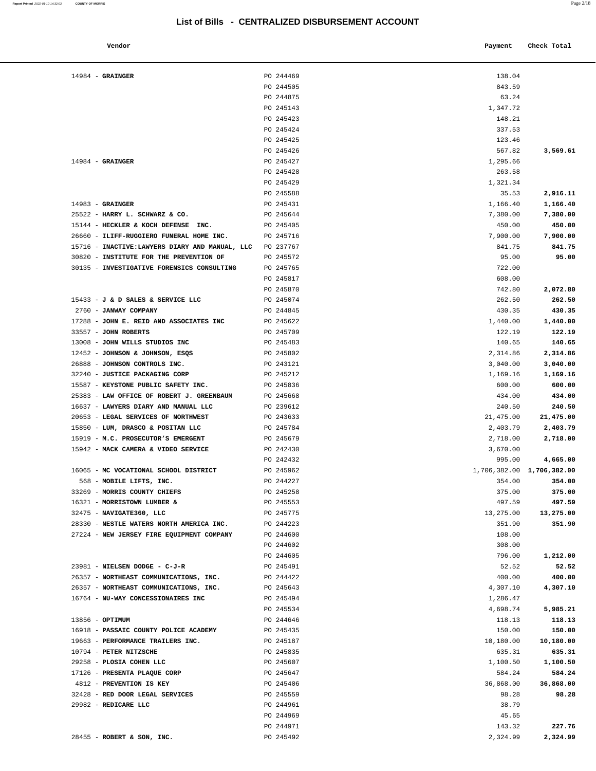| Vendor          |           | Payment | Check Total |
|-----------------|-----------|---------|-------------|
| <b>GRAINGER</b> | PO 244469 | 138.04  |             |
|                 | PO 244505 | 843.59  |             |
|                 | DO 34497E | 52.21   |             |

| $14984$ - GRAINGER                                                        | PO 244469              | 138.04                              |                  |
|---------------------------------------------------------------------------|------------------------|-------------------------------------|------------------|
|                                                                           | PO 244505              | 843.59                              |                  |
|                                                                           | PO 244875              | 63.24                               |                  |
|                                                                           | PO 245143              | 1,347.72                            |                  |
|                                                                           | PO 245423              | 148.21                              |                  |
|                                                                           | PO 245424              | 337.53                              |                  |
|                                                                           | PO 245425              | 123.46                              |                  |
|                                                                           | PO 245426              | 567.82                              | 3,569.61         |
| $14984$ - GRAINGER                                                        | PO 245427              | 1,295.66                            |                  |
|                                                                           | PO 245428              | 263.58                              |                  |
|                                                                           | PO 245429              | 1,321.34                            |                  |
|                                                                           | PO 245588              | 35.53                               | 2,916.11         |
| $14983$ - GRAINGER                                                        | PO 245431              | 1,166.40                            | 1,166.40         |
| 25522 - HARRY L. SCHWARZ & CO.                                            | PO 245644              | 7,380.00                            | 7,380.00         |
| 15144 - HECKLER & KOCH DEFENSE INC.                                       | PO 245405              | 450.00                              | 450.00           |
| 26660 - ILIFF-RUGGIERO FUNERAL HOME INC.                                  | PO 245716              | 7,900.00                            | 7,900.00         |
| 15716 - INACTIVE: LAWYERS DIARY AND MANUAL, LLC                           | PO 237767              | 841.75                              | 841.75           |
| 30820 - INSTITUTE FOR THE PREVENTION OF                                   | PO 245572              | 95.00                               | 95.00            |
| 30135 - INVESTIGATIVE FORENSICS CONSULTING                                | PO 245765              | 722.00                              |                  |
|                                                                           | PO 245817              | 608.00                              |                  |
|                                                                           | PO 245870              | 742.80                              | 2,072.80         |
| 15433 - J & D SALES & SERVICE LLC                                         | PO 245074              | 262.50                              | 262.50           |
| 2760 - JANWAY COMPANY                                                     | PO 244845              | 430.35                              | 430.35           |
| 17288 - JOHN E. REID AND ASSOCIATES INC                                   | PO 245622              | 1,440.00                            | 1,440.00         |
| 33557 - JOHN ROBERTS                                                      | PO 245709              | 122.19                              | 122.19           |
| 13008 - JOHN WILLS STUDIOS INC                                            | PO 245483              | 140.65                              | 140.65           |
| 12452 - JOHNSON & JOHNSON, ESQS                                           | PO 245802              | 2,314.86                            | 2,314.86         |
| 26888 - JOHNSON CONTROLS INC.                                             | PO 243121              | 3,040.00                            | 3,040.00         |
| 32240 - JUSTICE PACKAGING CORP                                            | PO 245212              | 1,169.16                            | 1,169.16         |
| 15587 - KEYSTONE PUBLIC SAFETY INC.                                       | PO 245836              | 600.00                              | 600.00           |
| 25383 - LAW OFFICE OF ROBERT J. GREENBAUM                                 | PO 245668              | 434.00                              | 434.00           |
| 16637 - LAWYERS DIARY AND MANUAL LLC                                      | PO 239612              | 240.50                              | 240.50           |
| 20653 - LEGAL SERVICES OF NORTHWEST                                       | PO 243633              |                                     |                  |
|                                                                           |                        | 21,475.00                           | 21,475.00        |
| 15850 - LUM, DRASCO & POSITAN LLC                                         | PO 245784              | 2,403.79                            | 2,403.79         |
| 15919 - M.C. PROSECUTOR'S EMERGENT<br>15942 - MACK CAMERA & VIDEO SERVICE | PO 245679              | 2,718.00<br>3,670.00                | 2,718.00         |
|                                                                           | PO 242430<br>PO 242432 |                                     |                  |
|                                                                           |                        | 995.00<br>1,706,382.00 1,706,382.00 | 4,665.00         |
| 16065 - MC VOCATIONAL SCHOOL DISTRICT                                     | PO 245962              |                                     |                  |
| 568 - MOBILE LIFTS, INC.<br>33269 - MORRIS COUNTY CHIEFS                  | PO 244227              | 354.00                              | 354.00           |
|                                                                           | PO 245258              | 375.00                              | 375.00<br>497.59 |
| 16321 - MORRISTOWN LUMBER &                                               | PO 245553              | 497.59                              |                  |
| 32475 - NAVIGATE360, LLC                                                  | PO 245775              | 13,275.00                           | 13,275.00        |
| 28330 - NESTLE WATERS NORTH AMERICA INC.                                  | PO 244223              | 351.90                              | 351.90           |
| 27224 - NEW JERSEY FIRE EQUIPMENT COMPANY                                 | PO 244600              | 108.00                              |                  |
|                                                                           | PO 244602              | 308.00                              |                  |
|                                                                           | PO 244605              | 796.00                              | 1,212.00         |
| 23981 - NIELSEN DODGE - C-J-R                                             | PO 245491              | 52.52                               | 52.52            |
| 26357 - NORTHEAST COMMUNICATIONS, INC.                                    | PO 244422              | 400.00                              | 400.00           |
| 26357 - NORTHEAST COMMUNICATIONS, INC.                                    | PO 245643              | 4,307.10                            | 4,307.10         |
| 16764 - NU-WAY CONCESSIONAIRES INC                                        | PO 245494              | 1,286.47                            |                  |
|                                                                           | PO 245534              | 4,698.74                            | 5,985.21         |
| 13856 - OPTIMUM                                                           | PO 244646              | 118.13                              | 118.13           |
| 16918 - PASSAIC COUNTY POLICE ACADEMY                                     | PO 245435              | 150.00                              | 150.00           |
| 19663 - PERFORMANCE TRAILERS INC.                                         | PO 245187              | 10,180.00                           | 10,180.00        |
| 10794 - PETER NITZSCHE                                                    | PO 245835              | 635.31                              | 635.31           |
| 29258 - PLOSIA COHEN LLC                                                  | PO 245607              | 1,100.50                            | 1,100.50         |
| 17126 - PRESENTA PLAQUE CORP                                              | PO 245647              | 584.24                              | 584.24           |
| 4812 - PREVENTION IS KEY                                                  | PO 245406              | 36,868.00                           | 36,868.00        |
| 32428 - RED DOOR LEGAL SERVICES                                           | PO 245559              | 98.28                               | 98.28            |
| 29982 - REDICARE LLC                                                      | PO 244961              | 38.79                               |                  |
|                                                                           | PO 244969              | 45.65                               |                  |
|                                                                           | PO 244971              | 143.32                              | 227.76           |
| 28455 - ROBERT & SON, INC.                                                | PO 245492              | 2,324.99                            | 2,324.99         |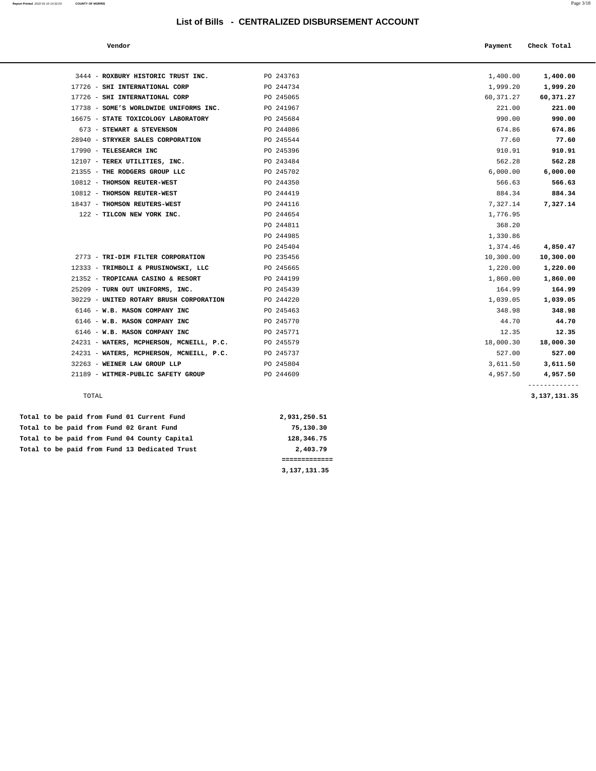# **List of Bills - CENTRALIZED DISBURSEMENT ACCOUNT**

| Report Printed 2022-01-10 14:32:03 | <b>COUNTY OF MORRIS</b> | Page $3/18$ |
|------------------------------------|-------------------------|-------------|
|                                    |                         |             |

| Vendor                         |           | Payment     | Check Total |
|--------------------------------|-----------|-------------|-------------|
| ROXBURY HISTORIC TRUST INC.    | PO 243763 | 1,400.00    | 1,400.00    |
|                                |           |             |             |
| SHI INTERNATIONAL CORP         | PO 244734 | 1,999.20    | 1,999.20    |
| SHI INTERNATIONAL CORP         | PO 245065 | 60, 371, 27 | 60,371.27   |
| SOME'S WORLDWIDE UNIFORMS INC. | PO 241967 | 221.00      | 221.00      |
| STATE TOXICOLOGY LABORATORY    | PO 245684 | 990.00      | 990.00      |
| <b>STEWART &amp; STEVENSON</b> | PO 244086 | 674.86      | 674.86      |
| CTDVKFD CALFC CODDODATION      | DO 245544 | 77 60       | 77 60       |

| 3444 - ROXBURY HISTORIC TRUST INC.                 | PO 243763    | 1,400.00  | 1,400.00                        |
|----------------------------------------------------|--------------|-----------|---------------------------------|
| 17726 - SHI INTERNATIONAL CORP                     | PO 244734    | 1,999.20  | 1,999.20                        |
| 17726 - SHI INTERNATIONAL CORP                     | PO 245065    | 60,371.27 | 60,371.27                       |
| 17738 - SOME'S WORLDWIDE UNIFORMS INC.             | PO 241967    | 221.00    | 221.00                          |
| 16675 - STATE TOXICOLOGY LABORATORY                | PO 245684    | 990.00    | 990.00                          |
| 673 - STEWART & STEVENSON                          | PO 244086    | 674.86    | 674.86                          |
| 28940 - STRYKER SALES CORPORATION                  | PO 245544    | 77.60     | 77.60                           |
| 17990 - TELESEARCH INC                             | PO 245396    | 910.91    | 910.91                          |
|                                                    |              | 562.28    | 562.28                          |
| 12107 - TEREX UTILITIES, INC.                      | PO 243484    |           |                                 |
| 21355 - THE RODGERS GROUP LLC                      | PO 245702    | 6,000.00  | 6,000.00                        |
| 10812 - THOMSON REUTER-WEST                        | PO 244350    | 566.63    | 566.63                          |
| 10812 - THOMSON REUTER-WEST                        | PO 244419    | 884.34    | 884.34                          |
| 18437 - THOMSON REUTERS-WEST                       | PO 244116    | 7,327.14  | 7,327.14                        |
| 122 - TILCON NEW YORK INC.                         | PO 244654    | 1,776.95  |                                 |
|                                                    | PO 244811    | 368.20    |                                 |
|                                                    | PO 244985    | 1,330.86  |                                 |
|                                                    | PO 245404    | 1,374.46  | 4,850.47                        |
| 2773 - TRI-DIM FILTER CORPORATION                  | PO 235456    | 10,300.00 | 10,300.00                       |
| 12333 - TRIMBOLI & PRUSINOWSKI, LLC                | PO 245665    | 1,220.00  | 1,220.00                        |
| 21352 - TROPICANA CASINO & RESORT                  | PO 244199    | 1,860.00  | 1,860.00                        |
| 25209 - TURN OUT UNIFORMS, INC.                    | PO 245439    | 164.99    | 164.99                          |
| 30229 - UNITED ROTARY BRUSH CORPORATION            | PO 244220    | 1,039.05  | 1,039.05                        |
| 6146 - W.B. MASON COMPANY INC                      | PO 245463    | 348.98    | 348.98                          |
| 6146 - W.B. MASON COMPANY INC                      | PO 245770    | 44.70     | 44.70                           |
| 6146 - W.B. MASON COMPANY INC                      | PO 245771    | 12.35     | 12.35                           |
| 24231 - WATERS, MCPHERSON, MCNEILL, P.C. PO 245579 |              | 18,000.30 | 18,000.30                       |
| 24231 - WATERS, MCPHERSON, MCNEILL, P.C. PO 245737 |              | 527.00    | 527.00                          |
| 32263 - WEINER LAW GROUP LLP                       | PO 245804    | 3,611.50  | 3,611.50                        |
| 21189 - WITMER-PUBLIC SAFETY GROUP                 | PO 244609    | 4,957.50  | 4,957.50                        |
| TOTAL                                              |              |           | -------------<br>3, 137, 131.35 |
| paid from Fund 01 Current Fund                     | 2,931,250.51 |           |                                 |
| raid from Bund 02 Cropt Bund                       | 75 130 30    |           |                                 |

|  |  |  |  |                                               | 3,137,131.35 |
|--|--|--|--|-----------------------------------------------|--------------|
|  |  |  |  |                                               |              |
|  |  |  |  | Total to be paid from Fund 13 Dedicated Trust | 2,403.79     |
|  |  |  |  | Total to be paid from Fund 04 County Capital  | 128,346.75   |
|  |  |  |  | Total to be paid from Fund 02 Grant Fund      | 75,130.30    |
|  |  |  |  | Total to be paid from Fund 01 Current Fund    | 2,931,250.51 |
|  |  |  |  |                                               |              |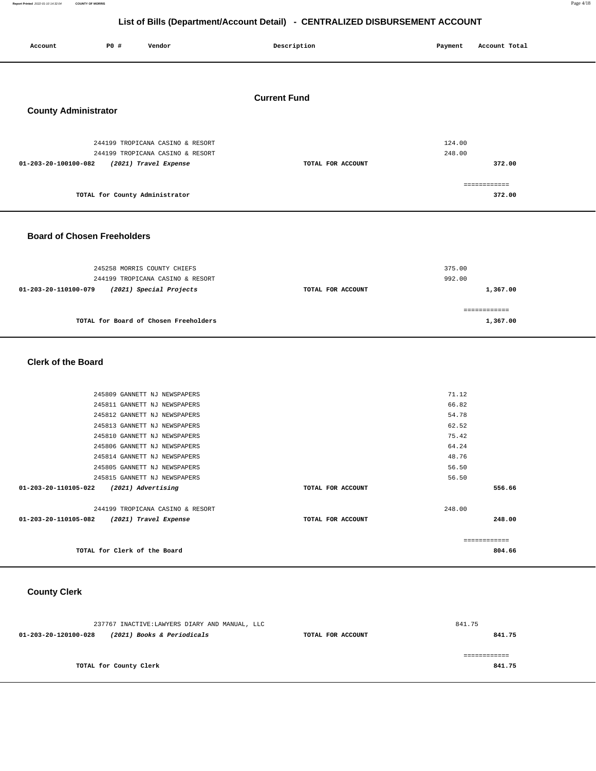**Report Printed** 2022-01-10 14:32:04 **COUNTY OF MORRIS** Page 4/18

# **List of Bills (Department/Account Detail) - CENTRALIZED DISBURSEMENT ACCOUNT**

| Account                     | P0 # | Vendor                                                                                        | Description         | Payment          | Account Total          |
|-----------------------------|------|-----------------------------------------------------------------------------------------------|---------------------|------------------|------------------------|
| <b>County Administrator</b> |      |                                                                                               | <b>Current Fund</b> |                  |                        |
| 01-203-20-100100-082        |      | 244199 TROPICANA CASINO & RESORT<br>244199 TROPICANA CASINO & RESORT<br>(2021) Travel Expense | TOTAL FOR ACCOUNT   | 124.00<br>248.00 | 372.00                 |
|                             |      | TOTAL for County Administrator                                                                |                     |                  | ============<br>372.00 |

# **Board of Chosen Freeholders**

| 245258 MORRIS COUNTY CHIEFS<br>244199 TROPICANA CASINO & RESORT |                   | 375.00<br>992.00 |
|-----------------------------------------------------------------|-------------------|------------------|
| (2021) Special Projects<br>01-203-20-110100-079                 | TOTAL FOR ACCOUNT | 1,367.00         |
| TOTAL for Board of Chosen Freeholders                           |                   | 1,367.00         |

 **Clerk of the Board** 

| 245809 GANNETT NJ NEWSPAPERS                  |                   | 71.12         |
|-----------------------------------------------|-------------------|---------------|
| 245811 GANNETT NJ NEWSPAPERS                  |                   | 66.82         |
| 245812 GANNETT NJ NEWSPAPERS                  |                   | 54.78         |
| 245813 GANNETT NJ NEWSPAPERS                  |                   | 62.52         |
| 245810 GANNETT NJ NEWSPAPERS                  |                   | 75.42         |
| 245806 GANNETT NJ NEWSPAPERS                  |                   | 64.24         |
| 245814 GANNETT NJ NEWSPAPERS                  |                   | 48.76         |
| 245805 GANNETT NJ NEWSPAPERS                  |                   | 56.50         |
| 245815 GANNETT NJ NEWSPAPERS                  |                   | 56.50         |
| 01-203-20-110105-022<br>(2021) Advertising    | TOTAL FOR ACCOUNT | 556.66        |
| 244199 TROPICANA CASINO & RESORT              |                   | 248.00        |
| 01-203-20-110105-082<br>(2021) Travel Expense | TOTAL FOR ACCOUNT | 248.00        |
|                                               |                   | ------------- |
| TOTAL for Clerk of the Board                  |                   | 804.66        |
|                                               |                   |               |

# **County Clerk**

| 237767 INACTIVE:LAWYERS DIARY AND MANUAL, LLC      | 841.75            |        |
|----------------------------------------------------|-------------------|--------|
| (2021) Books & Periodicals<br>01-203-20-120100-028 | TOTAL FOR ACCOUNT | 841.75 |
|                                                    |                   |        |
|                                                    |                   |        |
| TOTAL for County Clerk                             |                   | 841.75 |
|                                                    |                   |        |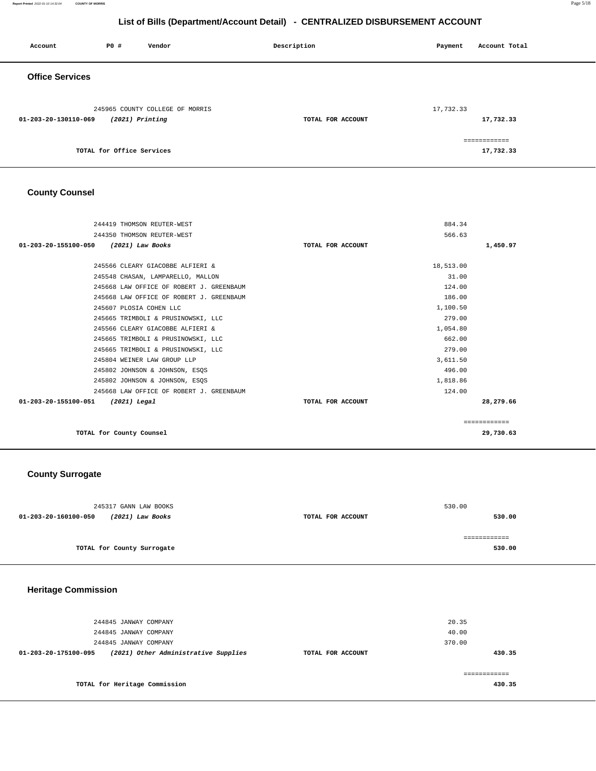**Report Printed** 2022-01-10 14:32:04 **COUNTY OF MORRIS** Page 5/18

# **List of Bills (Department/Account Detail) - CENTRALIZED DISBURSEMENT ACCOUNT**

| Account                | P0 #                      | Vendor                                               | Description       | Payment   | Account Total             |
|------------------------|---------------------------|------------------------------------------------------|-------------------|-----------|---------------------------|
| <b>Office Services</b> |                           |                                                      |                   |           |                           |
| 01-203-20-130110-069   |                           | 245965 COUNTY COLLEGE OF MORRIS<br>$(2021)$ Printing | TOTAL FOR ACCOUNT | 17,732.33 | 17,732.33                 |
|                        | TOTAL for Office Services |                                                      |                   |           | ============<br>17,732.33 |

# **County Counsel**

| 244419 THOMSON REUTER-WEST               |                   | 884.34    |              |
|------------------------------------------|-------------------|-----------|--------------|
| 244350 THOMSON REUTER-WEST               |                   | 566.63    |              |
| 01-203-20-155100-050 (2021) Law Books    | TOTAL FOR ACCOUNT |           | 1,450.97     |
|                                          |                   |           |              |
| 245566 CLEARY GIACOBBE ALFIERI &         |                   | 18,513.00 |              |
| 245548 CHASAN, LAMPARELLO, MALLON        |                   | 31.00     |              |
| 245668 LAW OFFICE OF ROBERT J. GREENBAUM |                   | 124.00    |              |
| 245668 LAW OFFICE OF ROBERT J. GREENBAUM |                   | 186.00    |              |
| 245607 PLOSIA COHEN LLC                  |                   | 1,100.50  |              |
| 245665 TRIMBOLI & PRUSINOWSKI, LLC       |                   | 279.00    |              |
| 245566 CLEARY GIACOBBE ALFIERI &         |                   | 1,054.80  |              |
| 245665 TRIMBOLI & PRUSINOWSKI, LLC       |                   | 662.00    |              |
| 245665 TRIMBOLI & PRUSINOWSKI, LLC       |                   | 279.00    |              |
| 245804 WEINER LAW GROUP LLP              |                   | 3,611.50  |              |
| 245802 JOHNSON & JOHNSON, ESQS           |                   | 496.00    |              |
| 245802 JOHNSON & JOHNSON, ESQS           |                   | 1,818.86  |              |
| 245668 LAW OFFICE OF ROBERT J. GREENBAUM |                   | 124.00    |              |
| 01-203-20-155100-051<br>(2021) Legal     | TOTAL FOR ACCOUNT |           | 28,279.66    |
|                                          |                   |           | ============ |
| TOTAL for County Counsel                 |                   |           | 29,730.63    |

# **County Surrogate**

| 245317 GANN LAW BOOKS                    |                   | 530.00 |
|------------------------------------------|-------------------|--------|
| 01-203-20-160100-050<br>(2021) Law Books | TOTAL FOR ACCOUNT | 530.00 |
|                                          |                   |        |
|                                          |                   |        |
| TOTAL for County Surrogate               |                   | 530.00 |
|                                          |                   |        |

# **Heritage Commission**

| 244845 JANWAY COMPANY<br>244845 JANWAY COMPANY<br>244845 JANWAY COMPANY |                   | 20.35<br>40.00<br>370.00 |
|-------------------------------------------------------------------------|-------------------|--------------------------|
| (2021) Other Administrative Supplies<br>01-203-20-175100-095            | TOTAL FOR ACCOUNT | 430.35                   |
| TOTAL for Heritage Commission                                           |                   | -------------<br>430.35  |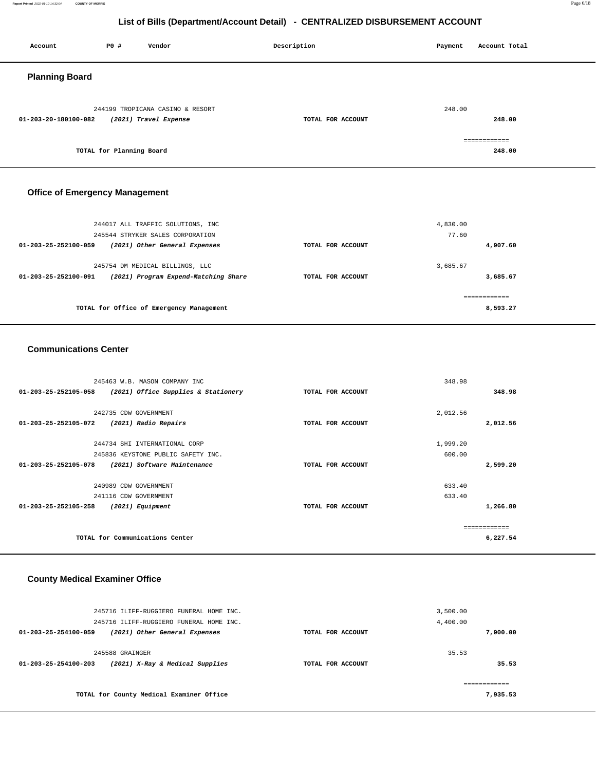#### **Report Printed** 2022-01-10 14:32:04 **COUNTY OF MORRIS** Page 6/18

# **List of Bills (Department/Account Detail) - CENTRALIZED DISBURSEMENT ACCOUNT**

| Account               | P0 #                     | Vendor                                                    | Description       | Payment | Account Total          |
|-----------------------|--------------------------|-----------------------------------------------------------|-------------------|---------|------------------------|
| <b>Planning Board</b> |                          |                                                           |                   |         |                        |
| 01-203-20-180100-082  |                          | 244199 TROPICANA CASINO & RESORT<br>(2021) Travel Expense | TOTAL FOR ACCOUNT | 248.00  | 248.00                 |
|                       | TOTAL for Planning Board |                                                           |                   |         | ============<br>248.00 |

# **Office of Emergency Management**

| 244017 ALL TRAFFIC SOLUTIONS, INC<br>245544 STRYKER SALES CORPORATION                           |                   | 4,830.00<br>77.60    |
|-------------------------------------------------------------------------------------------------|-------------------|----------------------|
| $01 - 203 - 25 - 252100 - 059$<br>(2021) Other General Expenses                                 | TOTAL FOR ACCOUNT | 4,907.60             |
| 245754 DM MEDICAL BILLINGS, LLC<br>(2021) Program Expend-Matching Share<br>01-203-25-252100-091 | TOTAL FOR ACCOUNT | 3.685.67<br>3,685.67 |
| TOTAL for Office of Emergency Management                                                        |                   | 8,593.27             |

#### **Communications Center**

|                      | 245463 W.B. MASON COMPANY INC       |                   | 348.98   |          |
|----------------------|-------------------------------------|-------------------|----------|----------|
| 01-203-25-252105-058 | (2021) Office Supplies & Stationery | TOTAL FOR ACCOUNT |          | 348.98   |
|                      |                                     |                   |          |          |
|                      | 242735 CDW GOVERNMENT               |                   | 2,012.56 |          |
| 01-203-25-252105-072 | (2021) Radio Repairs                | TOTAL FOR ACCOUNT |          | 2,012.56 |
|                      |                                     |                   |          |          |
|                      | 244734 SHI INTERNATIONAL CORP       |                   | 1,999.20 |          |
|                      | 245836 KEYSTONE PUBLIC SAFETY INC.  |                   | 600.00   |          |
| 01-203-25-252105-078 | (2021) Software Maintenance         | TOTAL FOR ACCOUNT |          | 2,599.20 |
|                      |                                     |                   |          |          |
|                      | 240989 CDW GOVERNMENT               |                   | 633.40   |          |
|                      | 241116 CDW GOVERNMENT               |                   | 633.40   |          |
| 01-203-25-252105-258 | (2021) Equipment                    | TOTAL FOR ACCOUNT |          | 1,266.80 |
|                      |                                     |                   |          |          |
|                      |                                     |                   |          |          |
|                      | TOTAL for Communications Center     |                   |          | 6,227.54 |
|                      |                                     |                   |          |          |

# **County Medical Examiner Office**

| 245716 ILIFF-RUGGIERO FUNERAL HOME INC.<br>245716 ILIFF-RUGGIERO FUNERAL HOME INC.   |                   | 3,500.00<br>4,400.00 |
|--------------------------------------------------------------------------------------|-------------------|----------------------|
| 01-203-25-254100-059<br>(2021) Other General Expenses                                | TOTAL FOR ACCOUNT | 7,900.00             |
| 245588 GRAINGER<br>(2021) X-Ray & Medical Supplies<br>$01 - 203 - 25 - 254100 - 203$ | TOTAL FOR ACCOUNT | 35.53<br>35.53       |
| TOTAL for County Medical Examiner Office                                             |                   | 7.935.53             |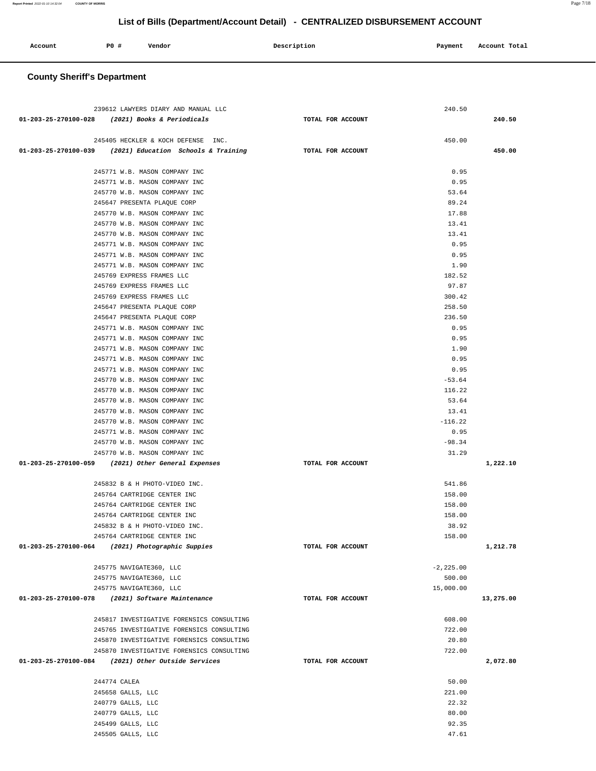# 239612 LAWYERS DIARY AND MANUAL LLC 240.50  **01-203-25-270100-028 (2021) Books & Periodicals TOTAL FOR ACCOUNT 240.50** 245405 HECKLER & KOCH DEFENSE INC. 450.00  **01-203-25-270100-039 (2021) Education Schools & Training TOTAL FOR ACCOUNT 450.00** 245771 W.B. MASON COMPANY INC 0.95 245771 W.B. MASON COMPANY INC 0.95 245770 W.B. MASON COMPANY INC 53.64 245647 PRESENTA PLAQUE CORP 89.24 245770 W.B. MASON COMPANY INC 17.88 245770 W.B. MASON COMPANY INC 13.41 245770 W.B. MASON COMPANY INC 13.41 245771 W.B. MASON COMPANY INC 0.95 245771 W.B. MASON COMPANY INC 0.95 245771 W.B. MASON COMPANY INC 3.5 (2002) 245771 W.B. MASON COMPANY INC 245769 EXPRESS FRAMES LLC 2002 182.52 245769 EXPRESS FRAMES LLC 97.87 245769 EXPRESS FRAMES LLC 300.42 245647 PRESENTA PLAQUE CORP 258.50 245647 PRESENTA PLAQUE CORP 236.50 245771 W.B. MASON COMPANY INC 6. 2008 12:30 12:30 12:30 12:30 12:30 12:30 12:30 12:30 12:30 12:30 12:30 12:30 245771 W.B. MASON COMPANY INC 6.95 245771 W.B. MASON COMPANY INC 1.90 245771 W.B. MASON COMPANY INC 0.95 245771 W.B. MASON COMPANY INC 0.95 245770 W.B. MASON COMPANY INC  $-53.64$  245770 W.B. MASON COMPANY INC 116.22 245770 W.B. MASON COMPANY INC 53.64 245770 W.B. MASON COMPANY INC 13.41 245770 W.B. MASON COMPANY INC -116.22 245771 W.B. MASON COMPANY INC 0.95 245770 W.B. MASON COMPANY INC  $-98.34$  245770 W.B. MASON COMPANY INC 31.29  **01-203-25-270100-059 (2021) Other General Expenses TOTAL FOR ACCOUNT 1,222.10** 245832 B & H PHOTO-VIDEO INC. 245764 CARTRIDGE CENTER INC 158.00 245764 CARTRIDGE CENTER INC 158.00 245764 CARTRIDGE CENTER INC 158.00 245832 B & H PHOTO-VIDEO INC. 38.92 245764 CARTRIDGE CENTER INC 158.00  **01-203-25-270100-064 (2021) Photographic Suppies TOTAL FOR ACCOUNT 1,212.78** 245775 NAVIGATE360, LLC -2,225.00 245775 NAVIGATE360, LLC 500.00 245775 NAVIGATE360, LLC 15,000.00  **01-203-25-270100-078 (2021) Software Maintenance TOTAL FOR ACCOUNT 13,275.00** 245817 INVESTIGATIVE FORENSICS CONSULTING 608.00 245765 INVESTIGATIVE FORENSICS CONSULTING 722.00 245870 INVESTIGATIVE FORENSICS CONSULTING 20.80 245870 INVESTIGATIVE FORENSICS CONSULTING 722.00  **01-203-25-270100-084 (2021) Other Outside Services TOTAL FOR ACCOUNT 2,072.80** 244774 CALEA 50.00 245658 GALLS, LLC 221.00 240779 GALLS, LLC 22.32 240779 GALLS, LLC 80.00 245499 GALLS, LLC 92.35 245505 GALLS, LLC 47.61

**List of Bills (Department/Account Detail) - CENTRALIZED DISBURSEMENT ACCOUNT**

| Account | P0# | Vendor | Description | Payment | Account Total |
|---------|-----|--------|-------------|---------|---------------|
|         |     |        |             |         |               |

 **County Sheriff's Department**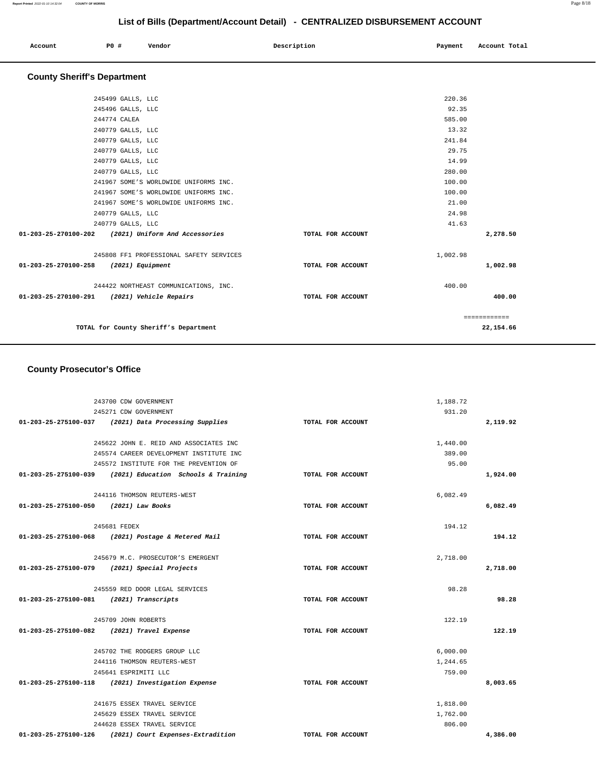|  | Account | PO# | Vendor | Description | Payment | Account Total |
|--|---------|-----|--------|-------------|---------|---------------|
|--|---------|-----|--------|-------------|---------|---------------|

# **County Sheriff's Department**

| 245499 GALLS, LLC                                   |                   | 220.36       |
|-----------------------------------------------------|-------------------|--------------|
| 245496 GALLS, LLC                                   |                   | 92.35        |
| 244774 CALEA                                        |                   | 585.00       |
| 240779 GALLS, LLC                                   |                   | 13.32        |
| 240779 GALLS, LLC                                   |                   | 241.84       |
| 240779 GALLS, LLC                                   |                   | 29.75        |
| 240779 GALLS, LLC                                   |                   | 14.99        |
| 240779 GALLS, LLC                                   |                   | 280.00       |
| 241967 SOME'S WORLDWIDE UNIFORMS INC.               |                   | 100.00       |
| 241967 SOME'S WORLDWIDE UNIFORMS INC.               |                   | 100.00       |
| 241967 SOME'S WORLDWIDE UNIFORMS INC.               |                   | 21.00        |
| 240779 GALLS, LLC                                   |                   | 24.98        |
| 240779 GALLS, LLC                                   |                   | 41.63        |
| 01-203-25-270100-202 (2021) Uniform And Accessories | TOTAL FOR ACCOUNT | 2,278.50     |
|                                                     |                   |              |
| 245808 FF1 PROFESSIONAL SAFETY SERVICES             |                   | 1,002.98     |
| 01-203-25-270100-258                                | TOTAL FOR ACCOUNT |              |
| (2021) Equipment                                    |                   | 1,002.98     |
|                                                     |                   |              |
| 244422 NORTHEAST COMMUNICATIONS, INC.               |                   | 400.00       |
| 01-203-25-270100-291<br>(2021) Vehicle Repairs      | TOTAL FOR ACCOUNT | 400.00       |
|                                                     |                   |              |
|                                                     |                   | ============ |
| TOTAL for County Sheriff's Department               |                   | 22,154.66    |

# **County Prosecutor's Office**

|                                         | 243700 CDW GOVERNMENT                                    |                   | 1,188.72 |          |
|-----------------------------------------|----------------------------------------------------------|-------------------|----------|----------|
|                                         | 245271 CDW GOVERNMENT                                    |                   | 931.20   |          |
|                                         | 01-203-25-275100-037 (2021) Data Processing Supplies     | TOTAL FOR ACCOUNT |          | 2,119.92 |
|                                         |                                                          |                   |          |          |
|                                         | 245622 JOHN E. REID AND ASSOCIATES INC                   |                   | 1,440.00 |          |
|                                         | 245574 CAREER DEVELOPMENT INSTITUTE INC                  |                   | 389.00   |          |
|                                         | 245572 INSTITUTE FOR THE PREVENTION OF                   |                   | 95.00    |          |
|                                         | 01-203-25-275100-039 (2021) Education Schools & Training | TOTAL FOR ACCOUNT |          | 1,924.00 |
|                                         | 244116 THOMSON REUTERS-WEST                              |                   | 6,082.49 |          |
| 01-203-25-275100-050 (2021) Law Books   |                                                          | TOTAL FOR ACCOUNT |          | 6,082.49 |
|                                         | 245681 FEDEX                                             |                   | 194.12   |          |
|                                         | 01-203-25-275100-068 (2021) Postage & Metered Mail       | TOTAL FOR ACCOUNT |          | 194.12   |
|                                         | 245679 M.C. PROSECUTOR'S EMERGENT                        |                   | 2,718.00 |          |
|                                         | 01-203-25-275100-079 (2021) Special Projects             | TOTAL FOR ACCOUNT |          | 2,718.00 |
|                                         | 245559 RED DOOR LEGAL SERVICES                           |                   | 98.28    |          |
| 01-203-25-275100-081 (2021) Transcripts |                                                          | TOTAL FOR ACCOUNT |          | 98.28    |
|                                         | 245709 JOHN ROBERTS                                      |                   | 122.19   |          |
|                                         | 01-203-25-275100-082 (2021) Travel Expense               | TOTAL FOR ACCOUNT |          | 122.19   |
|                                         | 245702 THE RODGERS GROUP LLC                             |                   | 6,000.00 |          |
|                                         | 244116 THOMSON REUTERS-WEST                              |                   | 1,244.65 |          |
|                                         | 245641 ESPRIMITI LLC                                     |                   | 759.00   |          |
|                                         | 01-203-25-275100-118 (2021) Investigation Expense        | TOTAL FOR ACCOUNT |          | 8,003.65 |
|                                         | 241675 ESSEX TRAVEL SERVICE                              |                   | 1,818.00 |          |
|                                         | 245629 ESSEX TRAVEL SERVICE                              |                   | 1,762.00 |          |
|                                         | 244628 ESSEX TRAVEL SERVICE                              |                   | 806.00   |          |
|                                         | 01-203-25-275100-126 (2021) Court Expenses-Extradition   | TOTAL FOR ACCOUNT |          | 4,386.00 |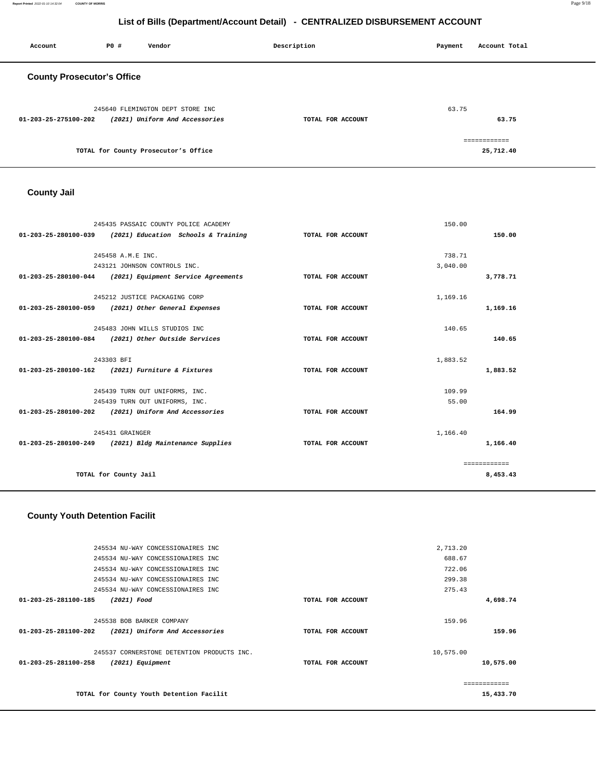#### 245534 NU-WAY CONCESSIONAIRES INC 245534 NU-WAY CONCESSIONAIRES INC 245534 NU-WAY CONCESSIONAIRES INC 245534 NU-WAY CONCESSIONAIRES INC 245534 NU-WAY CONCESSIONAIRES INC **01-203-25-281100-185 (2021) Food TOTAL FOR ACCOUNT**  2,713.20 688.67 722.06 299.38 275.43 **4,698.74** 245538 BOB BARKER COMPANY **01-203-25-281100-202 (2021) Uniform And Accessories TOTAL FOR ACCOUNT**  159.96 **159.96** 245537 CORNERSTONE DETENTION PRODUCTS INC. **01-203-25-281100-258 (2021) Equipment TOTAL FOR ACCOUNT**  10,575.00 **10,575.00 TOTAL for County Youth Detention Facilit**  ============ **15,433.70**

#### **County Youth Detention Facilit**

|                                | 245435 PASSAIC COUNTY POLICE ACADEMY                     |                   | 150.00   |              |
|--------------------------------|----------------------------------------------------------|-------------------|----------|--------------|
| 01-203-25-280100-039           | (2021) Education Schools & Training                      | TOTAL FOR ACCOUNT |          | 150.00       |
|                                |                                                          |                   |          |              |
|                                | 245458 A.M.E. TNC.                                       |                   | 738.71   |              |
|                                | 243121 JOHNSON CONTROLS INC.                             |                   | 3,040,00 |              |
|                                | 01-203-25-280100-044 (2021) Equipment Service Agreements | TOTAL FOR ACCOUNT |          | 3,778.71     |
|                                |                                                          |                   |          |              |
|                                | 245212 JUSTICE PACKAGING CORP                            |                   | 1,169.16 |              |
| $01 - 203 - 25 - 280100 - 059$ | (2021) Other General Expenses                            | TOTAL FOR ACCOUNT |          | 1,169.16     |
|                                |                                                          |                   | 140.65   |              |
|                                | 245483 JOHN WILLS STUDIOS INC                            |                   |          |              |
| 01-203-25-280100-084           | (2021) Other Outside Services                            | TOTAL FOR ACCOUNT |          | 140.65       |
|                                | 243303 BFI                                               |                   | 1,883.52 |              |
| $01 - 203 - 25 - 280100 - 162$ | (2021) Furniture & Fixtures                              | TOTAL FOR ACCOUNT |          | 1,883.52     |
|                                |                                                          |                   |          |              |
|                                | 245439 TURN OUT UNIFORMS, INC.                           |                   | 109.99   |              |
|                                | 245439 TURN OUT UNIFORMS, INC.                           |                   | 55.00    |              |
| $01 - 203 - 25 - 280100 - 202$ | (2021) Uniform And Accessories                           | TOTAL FOR ACCOUNT |          | 164.99       |
|                                |                                                          |                   |          |              |
|                                | 245431 GRAINGER                                          |                   | 1,166.40 |              |
|                                | 01-203-25-280100-249 (2021) Bldg Maintenance Supplies    | TOTAL FOR ACCOUNT |          | 1,166.40     |
|                                |                                                          |                   |          | ============ |
|                                | TOTAL for County Jail                                    |                   |          | 8,453.43     |

# **County Jail**

| <b>County Prosecutor's Office</b>                      |                   |                            |
|--------------------------------------------------------|-------------------|----------------------------|
| 245640 FLEMINGTON DEPT STORE INC                       |                   | 63.75                      |
| (2021) Uniform And Accessories<br>01-203-25-275100-202 | TOTAL FOR ACCOUNT | 63.75                      |
| TOTAL for County Prosecutor's Office                   |                   | -------------<br>25,712.40 |

 **Account P0 # Vendor Description Payment Account Total**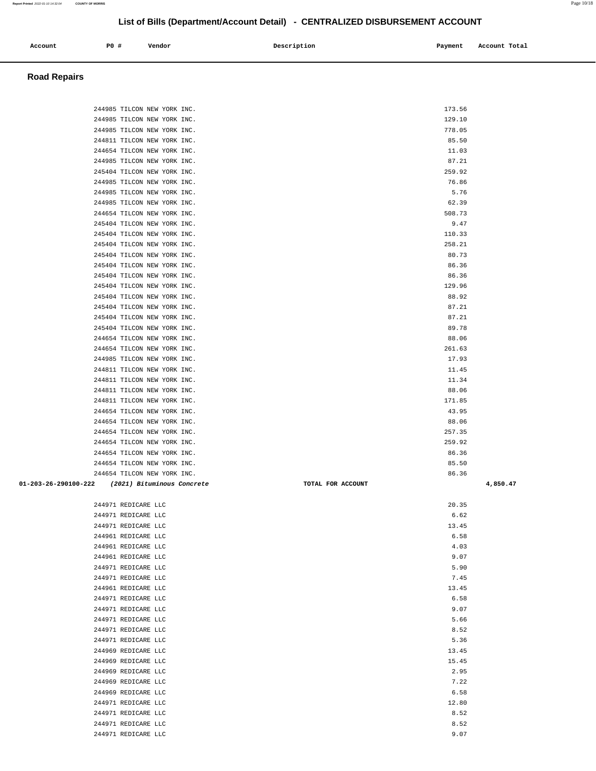| 244985 TILCON NEW YORK INC.                     | 173.56            |          |
|-------------------------------------------------|-------------------|----------|
| 244985 TILCON NEW YORK INC.                     | 129.10            |          |
| 244985 TILCON NEW YORK INC.                     | 778.05            |          |
| 244811 TILCON NEW YORK INC.                     | 85.50             |          |
| 244654 TILCON NEW YORK INC.                     | 11.03             |          |
| 244985 TILCON NEW YORK INC.                     | 87.21             |          |
| 245404 TILCON NEW YORK INC.                     | 259.92            |          |
| 244985 TILCON NEW YORK INC.                     | 76.86             |          |
| 244985 TILCON NEW YORK INC.                     | 5.76              |          |
| 244985 TILCON NEW YORK INC.                     | 62.39             |          |
| 244654 TILCON NEW YORK INC.                     | 508.73            |          |
| 245404 TILCON NEW YORK INC.                     | 9.47              |          |
| 245404 TILCON NEW YORK INC.                     | 110.33            |          |
| 245404 TILCON NEW YORK INC.                     | 258.21            |          |
| 245404 TILCON NEW YORK INC.                     | 80.73             |          |
| 245404 TILCON NEW YORK INC.                     | 86.36             |          |
| 245404 TILCON NEW YORK INC.                     | 86.36             |          |
| 245404 TILCON NEW YORK INC.                     | 129.96            |          |
| 245404 TILCON NEW YORK INC.                     | 88.92             |          |
| 245404 TILCON NEW YORK INC.                     | 87.21             |          |
| 245404 TILCON NEW YORK INC.                     | 87.21             |          |
| 245404 TILCON NEW YORK INC.                     | 89.78             |          |
| 244654 TILCON NEW YORK INC.                     | 88.06             |          |
| 244654 TILCON NEW YORK INC.                     | 261.63            |          |
| 244985 TILCON NEW YORK INC.                     | 17.93             |          |
| 244811 TILCON NEW YORK INC.                     | 11.45             |          |
| 244811 TILCON NEW YORK INC.                     | 11.34             |          |
| 244811 TILCON NEW YORK INC.                     | 88.06             |          |
| 244811 TILCON NEW YORK INC.                     | 171.85            |          |
| 244654 TILCON NEW YORK INC.                     | 43.95             |          |
| 244654 TILCON NEW YORK INC.                     | 88.06             |          |
| 244654 TILCON NEW YORK INC.                     | 257.35            |          |
| 244654 TILCON NEW YORK INC.                     | 259.92            |          |
| 244654 TILCON NEW YORK INC.                     | 86.36             |          |
| 244654 TILCON NEW YORK INC.                     | 85.50             |          |
| 244654 TILCON NEW YORK INC.                     | 86.36             |          |
| 01-203-26-290100-222 (2021) Bituminous Concrete | TOTAL FOR ACCOUNT | 4,850.47 |
|                                                 |                   |          |
| 244971 REDICARE LLC                             | 20.35             |          |
| 244971 REDICARE LLC                             | 6.62              |          |
| 244971 REDICARE LLC                             | 13.45             |          |
| 244961 REDICARE LLC                             | 6.58              |          |
| 244961 REDICARE LLC                             | 4.03              |          |
| 244961 REDICARE LLC                             | 9.07              |          |
| 244971 REDICARE LLC                             | 5.90              |          |
| 244971 REDICARE LLC                             | 7.45              |          |
| 244961 REDICARE LLC                             | 13.45             |          |
| 244971 REDICARE LLC                             | 6.58              |          |
| 244971 REDICARE LLC                             | 9.07              |          |
| 244971 REDICARE LLC                             | 5.66              |          |
| 244971 REDICARE LLC                             | 8.52              |          |
| 244971 REDICARE LLC                             | 5.36              |          |
| 244969 REDICARE LLC                             | 13.45             |          |
| 244969 REDICARE LLC                             | 15.45             |          |
| 244969 REDICARE LLC                             | 2.95              |          |
| 244969 REDICARE LLC                             | 7.22              |          |
| 244969 REDICARE LLC                             | 6.58              |          |
| 244971 REDICARE LLC                             | 12.80             |          |
| 244971 REDICARE LLC<br>244971 REDICARE LLC      | 8.52<br>8.52      |          |
|                                                 |                   |          |
| 244971 REDICARE LLC                             | 9.07              |          |

# **Account P0 # Vendor Description Payment Account Total**

 **Road Repairs** 

**List of Bills (Department/Account Detail) - CENTRALIZED DISBURSEMENT ACCOUNT**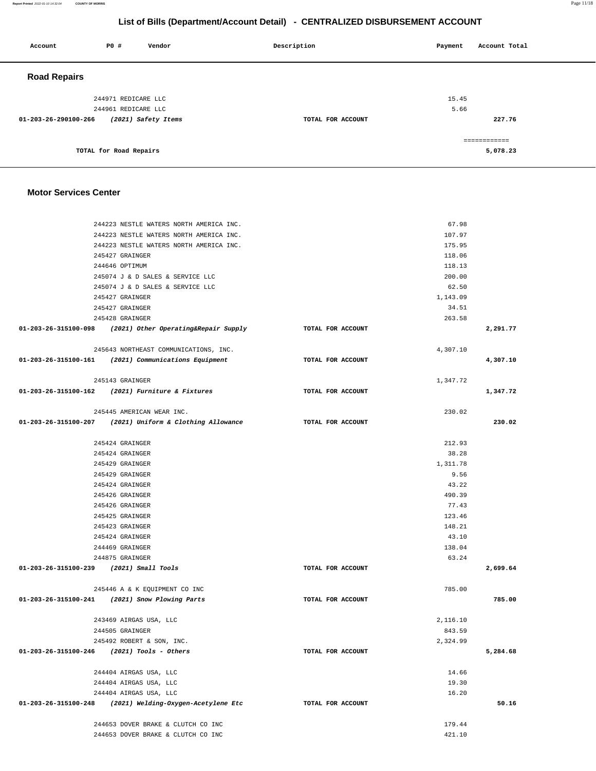**Report Printed** 2022-01-10 14:32:04 **COUNTY OF MORRIS** Page 11/18

# **List of Bills (Department/Account Detail) - CENTRALIZED DISBURSEMENT ACCOUNT**

| Account              | <b>PO #</b>            | Vendor              | Description       | Payment | Account Total |
|----------------------|------------------------|---------------------|-------------------|---------|---------------|
| <b>Road Repairs</b>  |                        |                     |                   |         |               |
|                      | 244971 REDICARE LLC    |                     |                   | 15.45   |               |
|                      | 244961 REDICARE LLC    |                     |                   | 5.66    |               |
| 01-203-26-290100-266 |                        | (2021) Safety Items | TOTAL FOR ACCOUNT |         | 227.76        |
|                      |                        |                     |                   |         | ============  |
|                      | TOTAL for Road Repairs |                     |                   |         | 5,078.23      |

## **Motor Services Center**

| 244223 NESTLE WATERS NORTH AMERICA INC.                      |                   | 67.98    |          |
|--------------------------------------------------------------|-------------------|----------|----------|
| 244223 NESTLE WATERS NORTH AMERICA INC.                      |                   | 107.97   |          |
| 244223 NESTLE WATERS NORTH AMERICA INC.                      |                   | 175.95   |          |
| 245427 GRAINGER                                              |                   | 118.06   |          |
| 244646 OPTIMUM                                               |                   | 118.13   |          |
| 245074 J & D SALES & SERVICE LLC                             |                   | 200.00   |          |
| 245074 J & D SALES & SERVICE LLC                             |                   | 62.50    |          |
| 245427 GRAINGER                                              |                   | 1,143.09 |          |
| 245427 GRAINGER                                              |                   | 34.51    |          |
| 245428 GRAINGER                                              |                   | 263.58   |          |
| $01-203-26-315100-098$ (2021) Other Operating& Repair Supply | TOTAL FOR ACCOUNT |          | 2,291.77 |
| 245643 NORTHEAST COMMUNICATIONS, INC.                        |                   | 4,307.10 |          |
| 01-203-26-315100-161 (2021) Communications Equipment         | TOTAL FOR ACCOUNT |          | 4,307.10 |
| 245143 GRAINGER                                              |                   | 1,347.72 |          |
| 01-203-26-315100-162 (2021) Furniture & Fixtures             | TOTAL FOR ACCOUNT |          | 1,347.72 |
| 245445 AMERICAN WEAR INC.                                    |                   | 230.02   |          |
| $01-203-26-315100-207$ (2021) Uniform & Clothing Allowance   | TOTAL FOR ACCOUNT |          | 230.02   |
| 245424 GRAINGER                                              |                   | 212.93   |          |
| 245424 GRAINGER                                              |                   | 38.28    |          |
| 245429 GRAINGER                                              |                   | 1,311.78 |          |
| 245429 GRAINGER                                              |                   | 9.56     |          |
| 245424 GRAINGER                                              |                   | 43.22    |          |
| 245426 GRAINGER                                              |                   | 490.39   |          |
| 245426 GRAINGER                                              |                   | 77.43    |          |
| 245425 GRAINGER                                              |                   | 123.46   |          |
| 245423 GRAINGER                                              |                   | 148.21   |          |
| 245424 GRAINGER                                              |                   | 43.10    |          |
| 244469 GRAINGER                                              |                   | 138.04   |          |
| 244875 GRAINGER                                              |                   | 63.24    |          |
| 01-203-26-315100-239 (2021) Small Tools                      | TOTAL FOR ACCOUNT |          | 2,699.64 |
| 245446 A & K EQUIPMENT CO INC                                |                   | 785.00   |          |
| 01-203-26-315100-241 (2021) Snow Plowing Parts               | TOTAL FOR ACCOUNT |          | 785.00   |
| 243469 AIRGAS USA, LLC                                       |                   | 2,116.10 |          |
| 244505 GRAINGER                                              |                   | 843.59   |          |
| 245492 ROBERT & SON, INC.                                    |                   | 2,324.99 |          |
| 01-203-26-315100-246 (2021) Tools - Others                   | TOTAL FOR ACCOUNT |          | 5,284.68 |
| 244404 AIRGAS USA, LLC                                       |                   | 14.66    |          |
| 244404 AIRGAS USA, LLC                                       |                   | 19.30    |          |
| 244404 AIRGAS USA, LLC                                       |                   | 16.20    |          |
| 01-203-26-315100-248<br>(2021) Welding-Oxygen-Acetylene Etc  | TOTAL FOR ACCOUNT |          | 50.16    |
| 244653 DOVER BRAKE & CLUTCH CO INC                           |                   | 179.44   |          |
| 244653 DOVER BRAKE & CLUTCH CO INC                           |                   | 421.10   |          |
|                                                              |                   |          |          |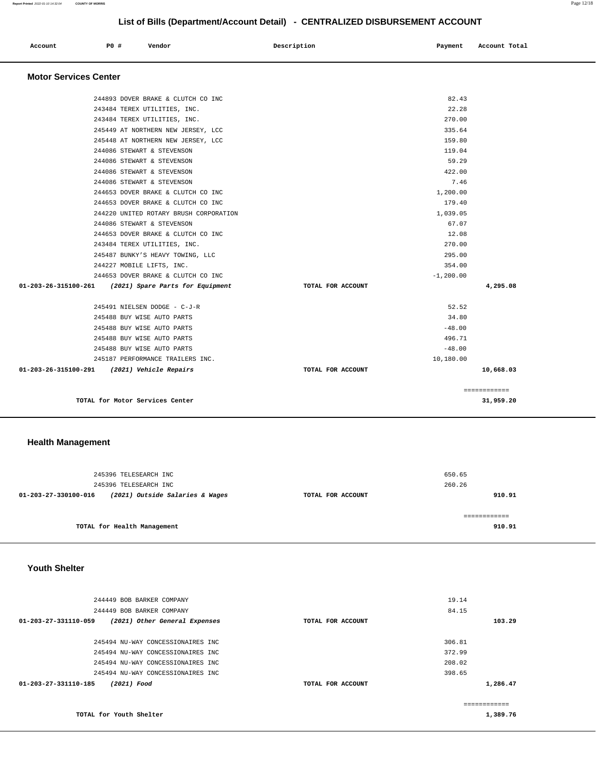| Account    | <b>PO #</b> | Vendor | Description | Payment | Account Total |
|------------|-------------|--------|-------------|---------|---------------|
| __ _ _ _ _ |             |        |             |         |               |

#### **Motor Services Center**

| 244893 DOVER BRAKE & CLUTCH CO INC                       |                   | 82.43       |              |
|----------------------------------------------------------|-------------------|-------------|--------------|
| 243484 TEREX UTILITIES, INC.                             |                   | 22.28       |              |
| 243484 TEREX UTILITIES, INC.                             |                   | 270.00      |              |
| 245449 AT NORTHERN NEW JERSEY, LCC                       |                   | 335.64      |              |
| 245448 AT NORTHERN NEW JERSEY, LCC                       |                   | 159.80      |              |
| 244086 STEWART & STEVENSON                               |                   | 119.04      |              |
| 244086 STEWART & STEVENSON                               |                   | 59.29       |              |
| 244086 STEWART & STEVENSON                               |                   | 422.00      |              |
| 244086 STEWART & STEVENSON                               |                   | 7.46        |              |
| 244653 DOVER BRAKE & CLUTCH CO INC                       |                   | 1,200.00    |              |
| 244653 DOVER BRAKE & CLUTCH CO INC                       |                   | 179.40      |              |
| 244220 UNITED ROTARY BRUSH CORPORATION                   |                   | 1,039.05    |              |
| 244086 STEWART & STEVENSON                               |                   | 67.07       |              |
| 244653 DOVER BRAKE & CLUTCH CO INC                       |                   | 12.08       |              |
| 243484 TEREX UTILITIES, INC.                             |                   | 270.00      |              |
| 245487 BUNKY'S HEAVY TOWING, LLC                         |                   | 295.00      |              |
| 244227 MOBILE LIFTS, INC.                                |                   | 354.00      |              |
| 244653 DOVER BRAKE & CLUTCH CO INC                       |                   | $-1,200.00$ |              |
| 01-203-26-315100-261<br>(2021) Spare Parts for Equipment | TOTAL FOR ACCOUNT |             | 4,295.08     |
| 245491 NIELSEN DODGE - C-J-R                             |                   | 52.52       |              |
| 245488 BUY WISE AUTO PARTS                               |                   | 34.80       |              |
| 245488 BUY WISE AUTO PARTS                               |                   | $-48.00$    |              |
| 245488 BUY WISE AUTO PARTS                               |                   | 496.71      |              |
| 245488 BUY WISE AUTO PARTS                               |                   | $-48.00$    |              |
| 245187 PERFORMANCE TRAILERS INC.                         |                   | 10,180.00   |              |
| 01-203-26-315100-291 (2021) Vehicle Repairs              | TOTAL FOR ACCOUNT |             | 10,668.03    |
|                                                          |                   |             | ============ |
| TOTAL for Motor Services Center                          |                   |             | 31,959.20    |

# **Health Management**

|                      | 245396 TELESEARCH INC<br>245396 TELESEARCH INC |                   | 650.65<br>260.26      |
|----------------------|------------------------------------------------|-------------------|-----------------------|
| 01-203-27-330100-016 | (2021) Outside Salaries & Wages                | TOTAL FOR ACCOUNT | 910.91                |
|                      | TOTAL for Health Management                    |                   | -----------<br>910.91 |

### **Youth Shelter**

| 244449 BOB BARKER COMPANY                             |                   | 19.14  |          |
|-------------------------------------------------------|-------------------|--------|----------|
| 244449 BOB BARKER COMPANY                             |                   | 84.15  |          |
| 01-203-27-331110-059<br>(2021) Other General Expenses | TOTAL FOR ACCOUNT |        | 103.29   |
|                                                       |                   |        |          |
| 245494 NU-WAY CONCESSIONAIRES INC                     |                   | 306.81 |          |
| 245494 NU-WAY CONCESSIONAIRES INC                     |                   | 372.99 |          |
| 245494 NU-WAY CONCESSIONAIRES INC                     |                   | 208.02 |          |
| 245494 NU-WAY CONCESSIONAIRES INC                     |                   | 398.65 |          |
| $01 - 203 - 27 - 331110 - 185$<br>(2021) Food         | TOTAL FOR ACCOUNT |        | 1,286.47 |
|                                                       |                   | .      |          |
| TOTAL for Youth Shelter                               |                   |        | 1,389.76 |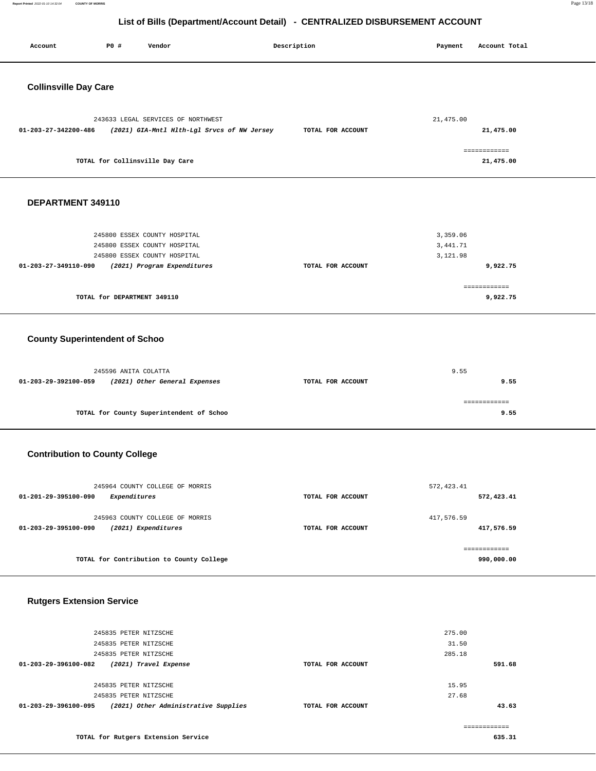**Report Printed** 2022-01-10 14:32:04 **COUNTY OF MORRIS** Page 13/18

# **List of Bills (Department/Account Detail) - CENTRALIZED DISBURSEMENT ACCOUNT**

| Account                               | <b>PO #</b>                 | Vendor                                   |                                             | Description       | Payment     | Account Total            |
|---------------------------------------|-----------------------------|------------------------------------------|---------------------------------------------|-------------------|-------------|--------------------------|
| <b>Collinsville Day Care</b>          |                             |                                          |                                             |                   |             |                          |
|                                       |                             |                                          |                                             |                   |             |                          |
|                                       |                             | 243633 LEGAL SERVICES OF NORTHWEST       |                                             |                   | 21, 475.00  |                          |
| 01-203-27-342200-486                  |                             |                                          | (2021) GIA-Mntl Hlth-Lgl Srvcs of NW Jersey | TOTAL FOR ACCOUNT |             | 21,475.00                |
|                                       |                             |                                          |                                             |                   |             | ============             |
|                                       |                             | TOTAL for Collinsville Day Care          |                                             |                   |             | 21,475.00                |
| DEPARTMENT 349110                     |                             |                                          |                                             |                   |             |                          |
|                                       |                             |                                          |                                             |                   |             |                          |
|                                       |                             | 245800 ESSEX COUNTY HOSPITAL             |                                             |                   | 3,359.06    |                          |
|                                       |                             | 245800 ESSEX COUNTY HOSPITAL             |                                             |                   | 3,441.71    |                          |
|                                       |                             | 245800 ESSEX COUNTY HOSPITAL             |                                             | TOTAL FOR ACCOUNT | 3,121.98    | 9,922.75                 |
| 01-203-27-349110-090                  |                             | (2021) Program Expenditures              |                                             |                   |             |                          |
|                                       | TOTAL for DEPARTMENT 349110 |                                          |                                             |                   |             | ------------<br>9,922.75 |
| <b>County Superintendent of Schoo</b> |                             |                                          |                                             |                   |             |                          |
|                                       | 245596 ANITA COLATTA        |                                          |                                             |                   | 9.55        |                          |
| 01-203-29-392100-059                  |                             | (2021) Other General Expenses            |                                             | TOTAL FOR ACCOUNT |             | 9.55                     |
|                                       |                             |                                          |                                             |                   |             | ============             |
|                                       |                             | TOTAL for County Superintendent of Schoo |                                             |                   |             | 9.55                     |
|                                       |                             |                                          |                                             |                   |             |                          |
| <b>Contribution to County College</b> |                             |                                          |                                             |                   |             |                          |
|                                       |                             | 245964 COUNTY COLLEGE OF MORRIS          |                                             |                   | 572, 423.41 |                          |
| 01-201-29-395100-090                  | Expenditures                |                                          |                                             | TOTAL FOR ACCOUNT |             | 572,423.41               |
|                                       |                             | 245963 COUNTY COLLEGE OF MORRIS          |                                             |                   | 417,576.59  |                          |
| 01-203-29-395100-090                  |                             | (2021) Expenditures                      |                                             | TOTAL FOR ACCOUNT |             | 417,576.59               |
|                                       |                             |                                          |                                             |                   |             | ============             |
|                                       |                             | TOTAL for Contribution to County College |                                             |                   |             | 990,000.00               |
|                                       |                             |                                          |                                             |                   |             |                          |
| <b>Rutgers Extension Service</b>      |                             |                                          |                                             |                   |             |                          |

| 01-203-29-396100-095 | (2021) Other Administrative Supplies | TOTAL FOR ACCOUNT |        | 43.63  |
|----------------------|--------------------------------------|-------------------|--------|--------|
|                      | 245835 PETER NITZSCHE                |                   | 27.68  |        |
|                      | 245835 PETER NITZSCHE                |                   | 15.95  |        |
| 01-203-29-396100-082 | (2021) Travel Expense                | TOTAL FOR ACCOUNT |        | 591.68 |
|                      | 245835 PETER NITZSCHE                |                   | 285.18 |        |
|                      | 245835 PETER NITZSCHE                |                   | 31.50  |        |
|                      | 245835 PETER NITZSCHE                |                   | 275.00 |        |
|                      |                                      |                   |        |        |

**TOTAL for Rutgers Extension Service**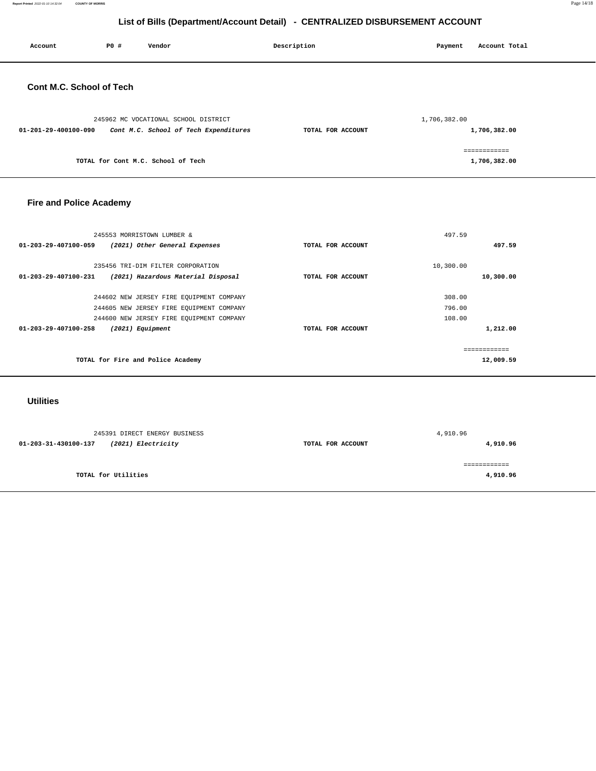**Report Printed** 2022-01-10 14:32:04 **COUNTY OF MORRIS** Page 14/18

# **List of Bills (Department/Account Detail) - CENTRALIZED DISBURSEMENT ACCOUNT**

| Account                         | P0 # | Vendor                                                                        | Description       | Payment      | Account Total                |
|---------------------------------|------|-------------------------------------------------------------------------------|-------------------|--------------|------------------------------|
| <b>Cont M.C. School of Tech</b> |      |                                                                               |                   |              |                              |
| 01-201-29-400100-090            |      | 245962 MC VOCATIONAL SCHOOL DISTRICT<br>Cont M.C. School of Tech Expenditures | TOTAL FOR ACCOUNT | 1,706,382.00 | 1,706,382.00                 |
|                                 |      | TOTAL for Cont M.C. School of Tech                                            |                   |              | ============<br>1,706,382.00 |

# **Fire and Police Academy**

| 245553 MORRISTOWN LUMBER &                                                                      |                   | 497.59                 |
|-------------------------------------------------------------------------------------------------|-------------------|------------------------|
| 01-203-29-407100-059<br>(2021) Other General Expenses                                           | TOTAL FOR ACCOUNT | 497.59                 |
|                                                                                                 |                   |                        |
| 235456 TRI-DIM FILTER CORPORATION<br>(2021) Hazardous Material Disposal<br>01-203-29-407100-231 | TOTAL FOR ACCOUNT | 10,300.00<br>10,300.00 |
|                                                                                                 |                   |                        |
| 244602 NEW JERSEY FIRE EQUIPMENT COMPANY                                                        |                   | 308.00                 |
| 244605 NEW JERSEY FIRE EQUIPMENT COMPANY                                                        |                   | 796.00                 |
| 244600 NEW JERSEY FIRE EQUIPMENT COMPANY                                                        |                   | 108.00                 |
| $01 - 203 - 29 - 407100 - 258$<br>(2021) Equipment                                              | TOTAL FOR ACCOUNT | 1,212.00               |
|                                                                                                 |                   |                        |
|                                                                                                 |                   | -------------          |
| TOTAL for Fire and Police Academy                                                               |                   | 12,009.59              |
|                                                                                                 |                   |                        |

# **Utilities**

| 245391 DIRECT ENERGY BUSINESS              |                   | 4,910.96     |
|--------------------------------------------|-------------------|--------------|
| (2021) Electricity<br>01-203-31-430100-137 | TOTAL FOR ACCOUNT | 4,910.96     |
|                                            |                   | ============ |
| TOTAL for Utilities                        |                   | 4,910.96     |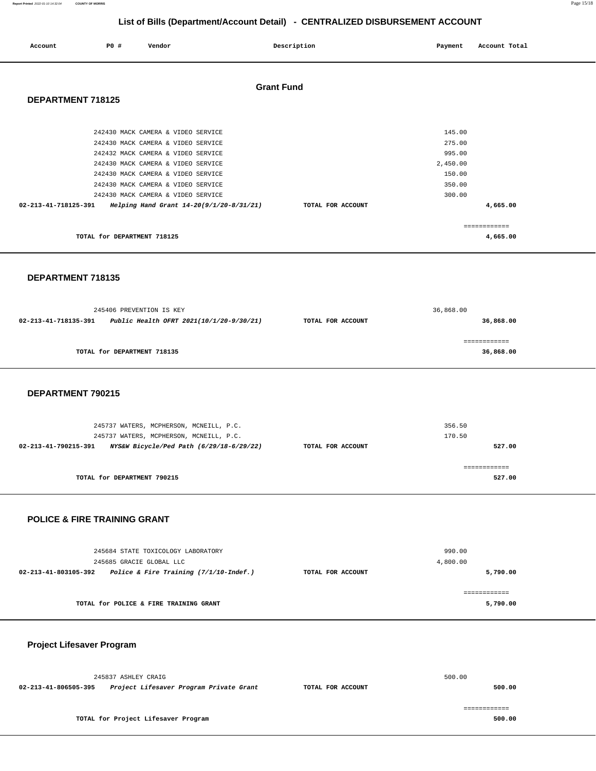| Report Printed 2022-01-10 14:32:04 COUNTY OF MORRIS | Page 15/18 |  |
|-----------------------------------------------------|------------|--|
|                                                     |            |  |

| Account              | PO#                         | Vendor                                                                                                                                                                                                                                                                                                             | Description       | Payment                                                              | Account Total |
|----------------------|-----------------------------|--------------------------------------------------------------------------------------------------------------------------------------------------------------------------------------------------------------------------------------------------------------------------------------------------------------------|-------------------|----------------------------------------------------------------------|---------------|
| DEPARTMENT 718125    |                             |                                                                                                                                                                                                                                                                                                                    | <b>Grant Fund</b> |                                                                      |               |
| 02-213-41-718125-391 |                             | 242430 MACK CAMERA & VIDEO SERVICE<br>242430 MACK CAMERA & VIDEO SERVICE<br>242432 MACK CAMERA & VIDEO SERVICE<br>242430 MACK CAMERA & VIDEO SERVICE<br>242430 MACK CAMERA & VIDEO SERVICE<br>242430 MACK CAMERA & VIDEO SERVICE<br>242430 MACK CAMERA & VIDEO SERVICE<br>Helping Hand Grant 14-20(9/1/20-8/31/21) | TOTAL FOR ACCOUNT | 145.00<br>275.00<br>995.00<br>2,450.00<br>150.00<br>350.00<br>300.00 | 4,665.00      |
|                      |                             |                                                                                                                                                                                                                                                                                                                    |                   |                                                                      | ============  |
|                      | TOTAL for DEPARTMENT 718125 |                                                                                                                                                                                                                                                                                                                    |                   |                                                                      | 4,665.00      |

#### **DEPARTMENT 718135**

|                                                                  | 245406 PREVENTION IS KEY    | 36,868.00         |              |  |
|------------------------------------------------------------------|-----------------------------|-------------------|--------------|--|
| Public Health OFRT 2021(10/1/20-9/30/21)<br>02-213-41-718135-391 |                             | TOTAL FOR ACCOUNT | 36,868.00    |  |
|                                                                  |                             |                   | ============ |  |
|                                                                  | TOTAL for DEPARTMENT 718135 |                   | 36,868.00    |  |
|                                                                  |                             |                   |              |  |

#### **DEPARTMENT 790215**

| 245737 WATERS, MCPHERSON, MCNEILL, P.C.                          |                   | 356.50 |
|------------------------------------------------------------------|-------------------|--------|
| 245737 WATERS, MCPHERSON, MCNEILL, P.C.                          |                   | 170.50 |
| NYS&W Bicycle/Ped Path (6/29/18-6/29/22)<br>02-213-41-790215-391 | TOTAL FOR ACCOUNT | 527.00 |
|                                                                  |                   |        |
| TOTAL for DEPARTMENT 790215                                      |                   | 527.00 |

### **POLICE & FIRE TRAINING GRANT**

| 245684 STATE TOXICOLOGY LABORATORY                                |                   | 990.00   |
|-------------------------------------------------------------------|-------------------|----------|
| 245685 GRACIE GLOBAL LLC                                          |                   | 4,800.00 |
| Police & Fire Training $(7/1/10$ -Indef.)<br>02-213-41-803105-392 | TOTAL FOR ACCOUNT | 5,790.00 |
|                                                                   |                   |          |
|                                                                   |                   |          |
| TOTAL for POLICE & FIRE TRAINING GRANT                            |                   | 5,790.00 |
|                                                                   |                   |          |

# **Project Lifesaver Program**

|                                                                                      | 245837 ASHLEY CRAIG                 |  | 500.00 |  |
|--------------------------------------------------------------------------------------|-------------------------------------|--|--------|--|
| Project Lifesaver Program Private Grant<br>02-213-41-806505-395<br>TOTAL FOR ACCOUNT |                                     |  | 500.00 |  |
|                                                                                      |                                     |  |        |  |
|                                                                                      |                                     |  |        |  |
|                                                                                      | TOTAL for Project Lifesaver Program |  | 500.00 |  |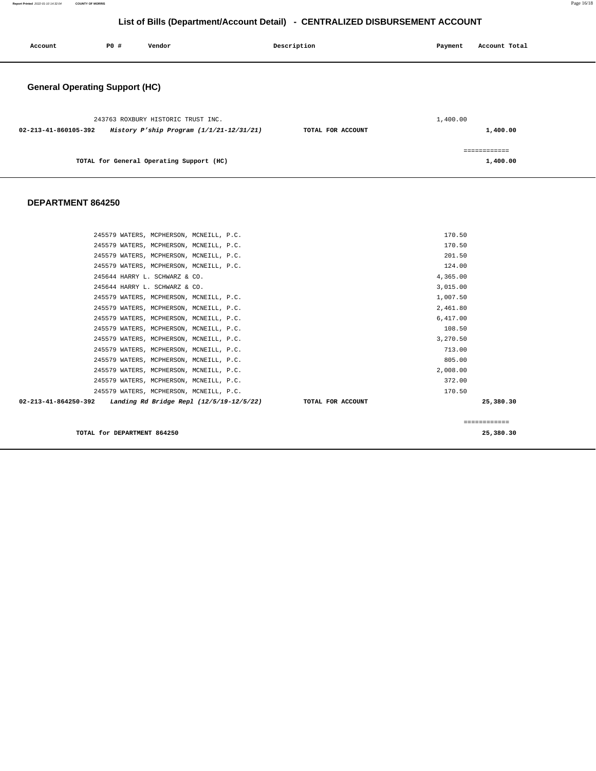| Account                               | P0 # | Vendor                                                                         | Description       | Payment  | Account Total            |
|---------------------------------------|------|--------------------------------------------------------------------------------|-------------------|----------|--------------------------|
| <b>General Operating Support (HC)</b> |      |                                                                                |                   |          |                          |
| 02-213-41-860105-392                  |      | 243763 ROXBURY HISTORIC TRUST INC.<br>History P'ship Program (1/1/21-12/31/21) | TOTAL FOR ACCOUNT | 1,400.00 | 1,400.00                 |
|                                       |      | TOTAL for General Operating Support (HC)                                       |                   |          | ============<br>1,400.00 |

#### **DEPARTMENT 864250**

| ============ |
|--------------|
| 25,380.30    |
|              |
|              |
|              |
|              |
|              |
|              |
|              |
|              |
|              |
|              |
|              |
|              |
|              |
|              |
|              |
|              |
|              |

**TOTAL for DEPARTMENT 864250 25,380.30**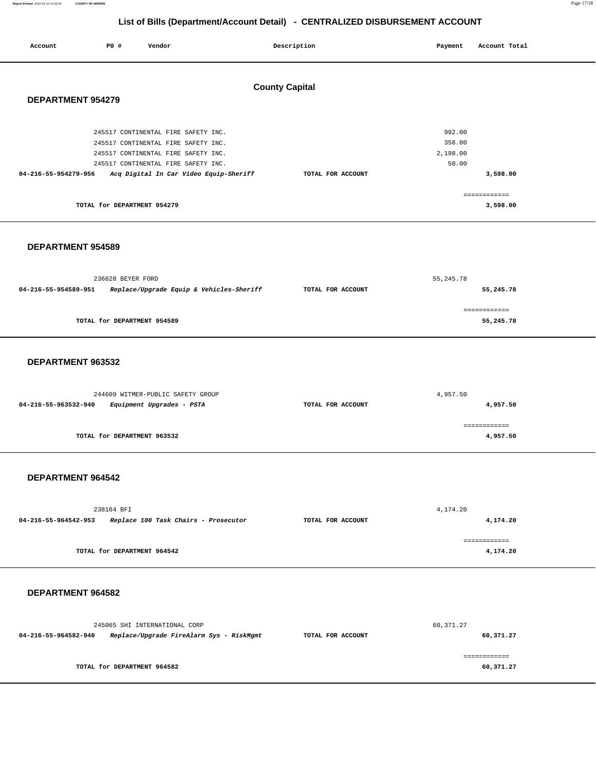**Report Printed** 2022-01-10 14:32:04 **COUNTY OF MORRIS** Page 17/18

# **List of Bills (Department/Account Detail) - CENTRALIZED DISBURSEMENT ACCOUNT**

| Account                  | <b>PO #</b>                 | Vendor                                 | Description           | Payment  | Account Total |
|--------------------------|-----------------------------|----------------------------------------|-----------------------|----------|---------------|
| <b>DEPARTMENT 954279</b> |                             |                                        | <b>County Capital</b> |          |               |
|                          |                             | 245517 CONTINENTAL FIRE SAFETY INC.    |                       | 992.00   |               |
|                          |                             | 245517 CONTINENTAL FIRE SAFETY INC.    |                       | 358.00   |               |
|                          |                             | 245517 CONTINENTAL FIRE SAFETY INC.    |                       | 2,198.00 |               |
|                          |                             | 245517 CONTINENTAL FIRE SAFETY INC.    |                       | 50.00    |               |
| 04-216-55-954279-956     |                             | Acq Digital In Car Video Equip-Sheriff | TOTAL FOR ACCOUNT     |          | 3,598.00      |
|                          |                             |                                        |                       |          | ============  |
|                          | TOTAL for DEPARTMENT 954279 |                                        |                       |          | 3,598.00      |

#### **DEPARTMENT 954589**

|                                                                  | 236628 BEYER FORD           |                   | 55,245.78    |  |  |
|------------------------------------------------------------------|-----------------------------|-------------------|--------------|--|--|
| Replace/Upgrade Equip & Vehicles-Sheriff<br>04-216-55-954589-951 |                             | TOTAL FOR ACCOUNT | 55,245.78    |  |  |
|                                                                  |                             |                   |              |  |  |
|                                                                  |                             |                   | ============ |  |  |
|                                                                  | TOTAL for DEPARTMENT 954589 |                   | 55,245.78    |  |  |
|                                                                  |                             |                   |              |  |  |

#### **DEPARTMENT 963532**

| 244609 WITMER-PUBLIC SAFETY GROUP                 |                   | 4,957.50 |  |  |
|---------------------------------------------------|-------------------|----------|--|--|
| Equipment Upgrades - PSTA<br>04-216-55-963532-940 | TOTAL FOR ACCOUNT | 4,957.50 |  |  |
|                                                   |                   |          |  |  |
| TOTAL for DEPARTMENT 963532                       |                   | 4,957.50 |  |  |

## **DEPARTMENT 964542**

| 238164 BFI                                                   |                   | 4,174.20 |  |
|--------------------------------------------------------------|-------------------|----------|--|
| Replace 100 Task Chairs - Prosecutor<br>04-216-55-964542-953 | TOTAL FOR ACCOUNT | 4,174.20 |  |
|                                                              |                   |          |  |
| TOTAL for DEPARTMENT 964542                                  |                   | 4,174.20 |  |

#### **DEPARTMENT 964582**

| 245065 SHI INTERNATIONAL CORP                                    |                             |                   | 60,371.27 |  |  |
|------------------------------------------------------------------|-----------------------------|-------------------|-----------|--|--|
| Replace/Upgrade FireAlarm Sys - RiskMgmt<br>04-216-55-964582-940 |                             | TOTAL FOR ACCOUNT | 60,371.27 |  |  |
|                                                                  |                             |                   |           |  |  |
|                                                                  |                             |                   |           |  |  |
|                                                                  | TOTAL for DEPARTMENT 964582 |                   | 60,371.27 |  |  |
|                                                                  |                             |                   |           |  |  |